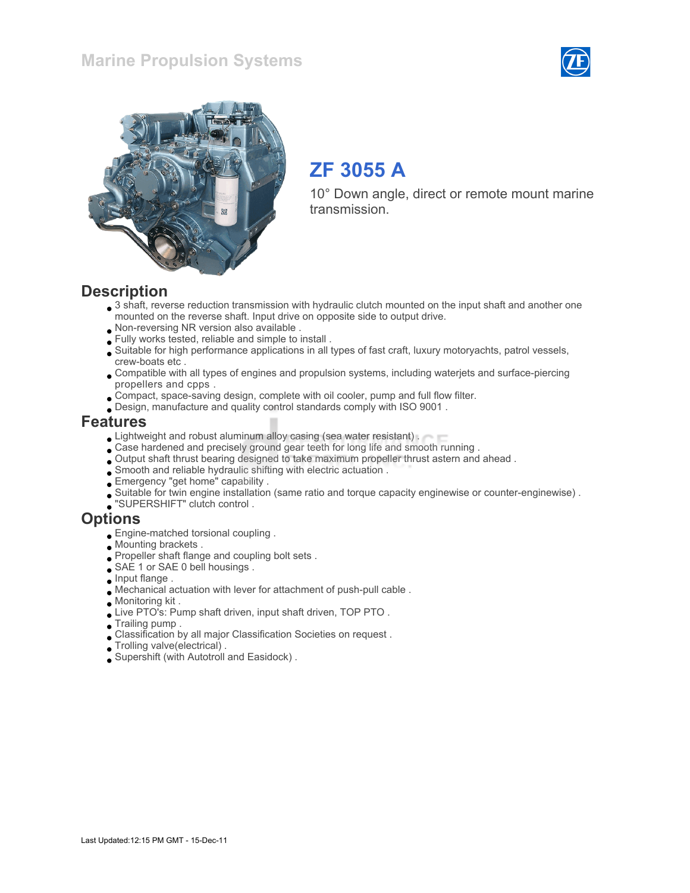



# ZF 3055 A

10° Down angle, direct or remote mount marine transmission.

#### **Description**

- 3 shaft, reverse reduction transmission with hydraulic clutch mounted on the input shaft and another one mounted on the reverse shaft. Input drive on opposite side to output drive.
- Non-reversing NR version also available .
- Fully works tested, reliable and simple to install .
- Suitable for high performance applications in all types of fast craft, luxury motoryachts, patrol vessels, crew-boats etc .
- Compatible with all types of engines and propulsion systems, including waterjets and surface-piercing propellers and cpps .
- Compact, space-saving design, complete with oil cooler, pump and full flow filter.
- Design, manufacture and quality control standards comply with ISO 9001 .

#### Features

- **Lightweight and robust aluminum alloy casing (sea water resistant).**
- Case hardened and precisely ground gear teeth for long life and smooth running .
- Output shaft thrust bearing designed to take maximum propeller thrust astern and ahead .
- Smooth and reliable hydraulic shifting with electric actuation .
- Emergency "get home" capability .
- Suitable for twin engine installation (same ratio and torque capacity enginewise or counter-enginewise) .
- "SUPERSHIFT" clutch control .

#### **Options**

- Engine-matched torsional coupling .
- Mounting brackets .
- Propeller shaft flange and coupling bolt sets .
- SAE 1 or SAE 0 bell housings.
- $\Box$  Input flange .
- Mechanical actuation with lever for attachment of push-pull cable .
- Monitoring kit .
- Live PTO's: Pump shaft driven, input shaft driven, TOP PTO .
- Trailing pump .
- Classification by all major Classification Societies on request .
- Trolling valve(electrical) .
- Supershift (with Autotroll and Easidock) .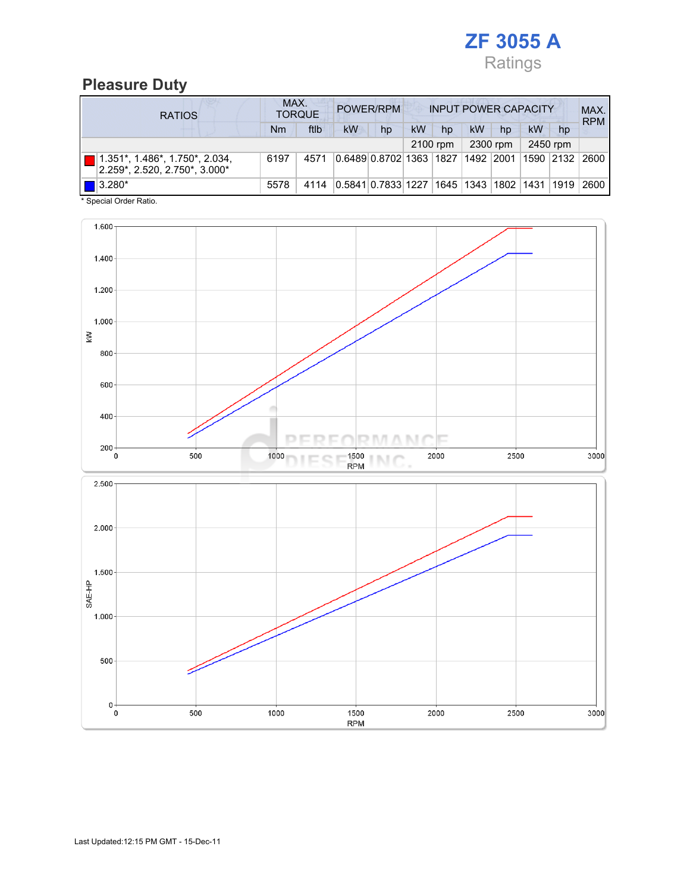

#### Pleasure Duty

| <b>RATIOS</b>                                                      | MAX.<br>POWER/RPM<br><b>TORQUE</b> |      |           |                                        |           | <b>INPUT POWER CAPACITY</b> |    |          |    |           |            |
|--------------------------------------------------------------------|------------------------------------|------|-----------|----------------------------------------|-----------|-----------------------------|----|----------|----|-----------|------------|
|                                                                    | Nm                                 | ftlb | <b>kW</b> | hp                                     | <b>kW</b> | hp                          | kW | hp       | kW | hp        | <b>RPM</b> |
|                                                                    |                                    |      |           |                                        |           | 2100 rpm                    |    | 2300 rpm |    | 2450 rpm  |            |
| $1.351$ *, 1.486*, 1.750*, 2.034,<br>2.259*, 2.520, 2.750*, 3.000* | 6197                               | 4571 |           | 0.6489 0.8702 1363  1827  1492  2001   |           |                             |    |          |    | 1590 2132 | 2600       |
| $\blacksquare$ 3.280*                                              | 5578                               | 4114 |           | 0.5841 0.7833 1227 1645 1343 1802 1431 |           |                             |    |          |    | 1919      | 2600       |

\* Special Order Ratio.

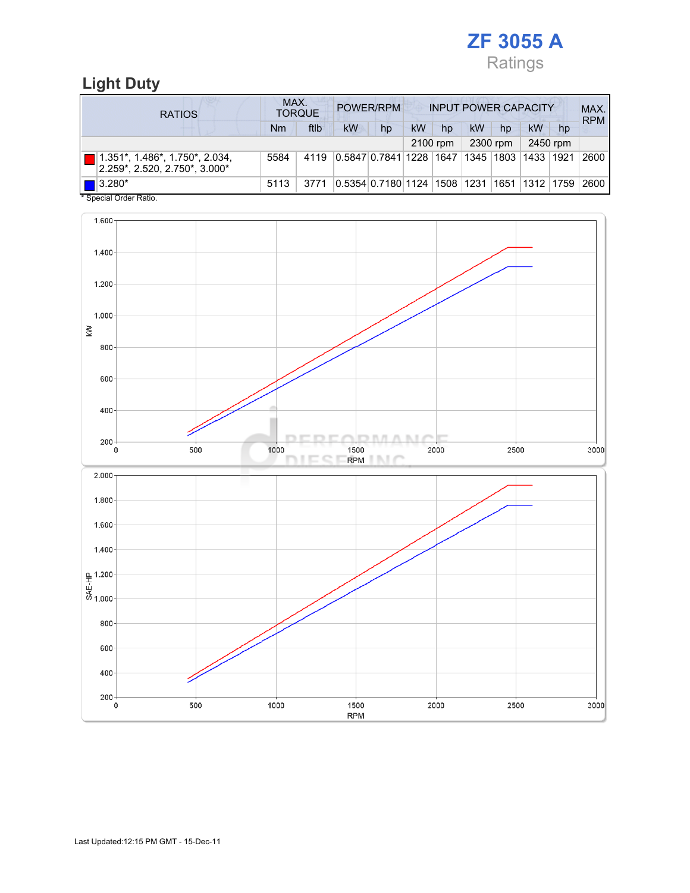

### Light Duty

| <b>RATIOS</b>                                                                  | MAX.<br>POWER/RPM<br><b>INPUT POWER CAPACITY</b><br><b>TORQUE</b> |      |                                |    |    |          |    |             | MAX.<br><b>RPM</b> |          |      |
|--------------------------------------------------------------------------------|-------------------------------------------------------------------|------|--------------------------------|----|----|----------|----|-------------|--------------------|----------|------|
|                                                                                | Nm                                                                | ftlb | <b>kW</b>                      | hp | kW | hp       | kW | hp          | kW                 | hp       |      |
|                                                                                |                                                                   |      |                                |    |    | 2100 rpm |    | 2300 rpm    |                    | 2450 rpm |      |
| $1.351^*$ , $1.486^*$ , $1.750^*$ , $2.034$ ,<br>2.259*, 2.520, 2.750*, 3.000* | 5584                                                              | 4119 | 0.5847 0.7841 1228 1647        |    |    |          |    | 1345   1803 | 1433   1921        |          | 2600 |
| $\blacksquare$ 3.280*                                                          | 5113                                                              | 3771 | 0.5354 0.7180 1124  1508  1231 |    |    |          |    |             | 1651   1312   1759 |          | 2600 |

Special Order Ratio.

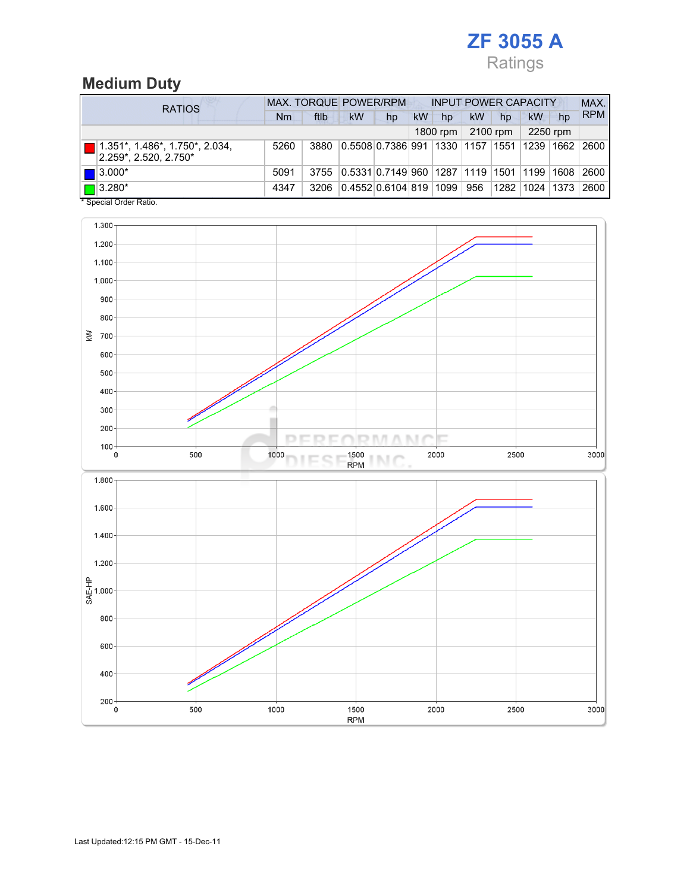## ZF 3055 A Ratings

## Medium Duty

| <b>RATIOS</b>                                                          | <b>MAX. TORQUE POWER/RPM</b> |      |                                           |    | <b>INPUT POWER CAPACITY</b> |          |           |          |             |      | MAX.       |
|------------------------------------------------------------------------|------------------------------|------|-------------------------------------------|----|-----------------------------|----------|-----------|----------|-------------|------|------------|
|                                                                        | Nm                           | ftlb | kW                                        | hp | kW                          | hp       | <b>kW</b> | hp       | kW          | hp   | <b>RPM</b> |
|                                                                        |                              |      |                                           |    |                             | 1800 rpm |           | 2100 rpm | 2250 rpm    |      |            |
| $1.351^*$ , $1.486^*$ , $1.750^*$ , $2.034$ ,<br>2.259*, 2.520, 2.750* | 5260                         | 3880 | 0.5508 0.7386 991 1330 1157 1551          |    |                             |          |           |          | 1239   1662 |      | 2600       |
| $\blacksquare$ 3.000*                                                  | 5091                         | 3755 | 0.5331 0.7149 960  1287  1119  1501  1199 |    |                             |          |           |          |             | 1608 | 2600       |
| $\blacksquare$ 3.280*<br>* Concial Order Datio                         | 4347                         | 3206 | 0.4552 0.6104 819  1099                   |    |                             |          | 956       | 1282     | 1024        | 1373 | 2600       |

Special Order Ratio.

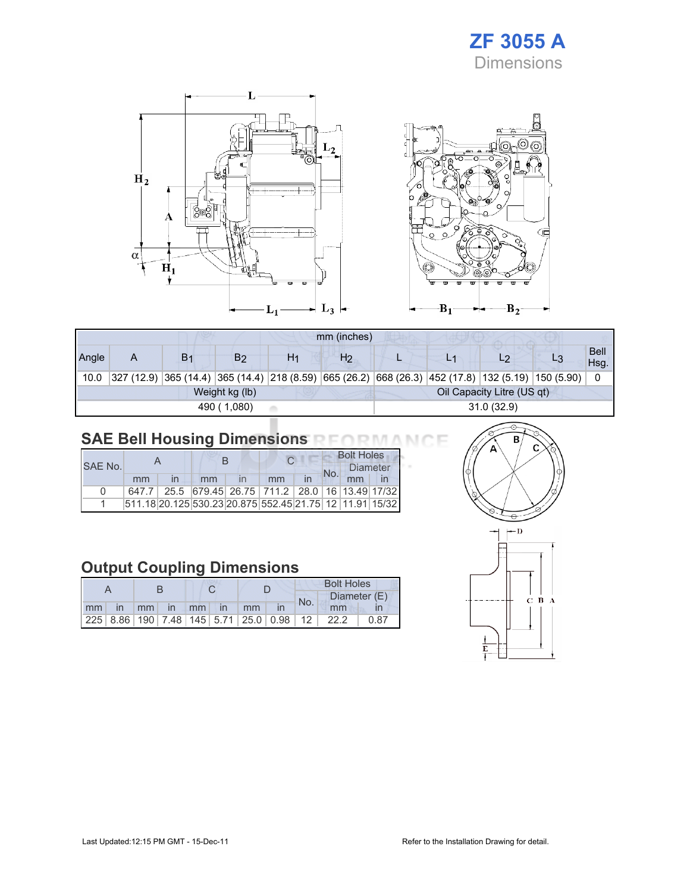



|       | mm (inches) |                |                |                            |                |            |  |                                                                                                      |  |                     |
|-------|-------------|----------------|----------------|----------------------------|----------------|------------|--|------------------------------------------------------------------------------------------------------|--|---------------------|
| Angle | A           | B <sub>1</sub> | B2             | H1                         | H <sub>2</sub> |            |  | L2                                                                                                   |  | <b>Bell</b><br>Hsg. |
| 10.0  |             |                |                |                            |                |            |  | $327$ (12.9) 365 (14.4) 365 (14.4) 218 (8.59) 665 (26.2) 668 (26.3) 452 (17.8) 132 (5.19) 150 (5.90) |  | 0                   |
|       |             |                | Weight kg (lb) | Oil Capacity Litre (US qt) |                |            |  |                                                                                                      |  |                     |
|       |             |                | 490 (1,080)    |                            |                | 31.0(32.9) |  |                                                                                                      |  |                     |

### SAE Bell Housing Dimensions RFORMANCE

|              |    |  |    |                                                         |     | <b>Bolt Holes</b> |                 |  |  |
|--------------|----|--|----|---------------------------------------------------------|-----|-------------------|-----------------|--|--|
| SAF No.      |    |  |    |                                                         | No. |                   | <b>Diameter</b> |  |  |
|              | mm |  | mm | mm                                                      | in  |                   | mm              |  |  |
| <sup>n</sup> |    |  |    | 647.7 25.5 679.45 26.75 711.2 28.0 16 13.49 17/32       |     |                   |                 |  |  |
|              |    |  |    | 511.18 20.125 530.23 20.875 552.45 21.75 12 11.91 15/32 |     |                   |                 |  |  |

### Output Coupling Dimensions

|                      |  |  |  |  |  | <b>Bolt Holes</b> |                                                 |              |  |
|----------------------|--|--|--|--|--|-------------------|-------------------------------------------------|--------------|--|
|                      |  |  |  |  |  | No.               |                                                 | Diameter (E) |  |
| mm in mm in mm in mm |  |  |  |  |  |                   | mm                                              |              |  |
|                      |  |  |  |  |  |                   | $ 225 8.86 190 7.48 145 5.71 25.0 0.98 12 22.2$ | 0.87         |  |